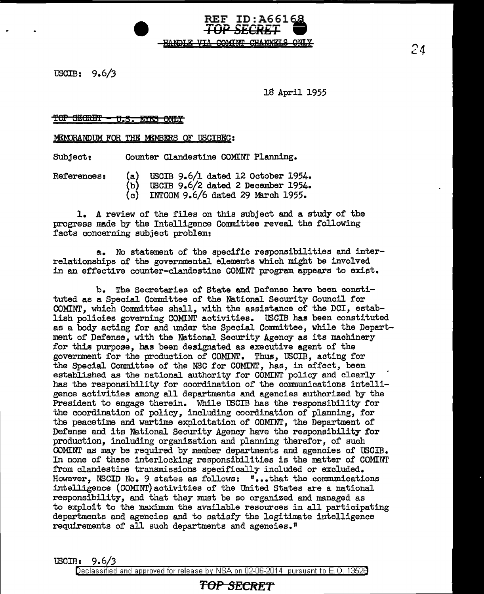USCIB: 9.6/3

18 April 1955

REF ID:A66168 **TOPSBCRET W** 

#### '!'OP SEleRE'l' 'ff *.S.* EYi:S 6NLY

MEMORANDUM FOR THE MEMBERS OF USCIBEC:

Subject: Counter Clandestine COMINT Planning.

References: (a) USCIB 9.6/l dated 12 October 1954.

<del>HANDIE VIA</del>

- (b) USCIB 9.6/2 dated 2 December 1954.
- INTCOM 9.6/6 dated 29 March 1955.

1. A review of the files on this subject and a study of the progress made by the Intelligence Committee reveal the following facts concerning subject problem:

a. No statement of the specific responsibilities and interrelationships of the governmental elements which might be involved in an effective counter-clandestine COMINT program appears to exist.

b. The Secretaries of State and Defense have been constituted as a Special Committee of the National Security Council for COMINT, which Committee shall, with the assistance of the DC!, establish policies governing COMINT activities. USCIB has been constituted as a body acting for and under the Special Committee, while the Department of Defense, with the National Security Agency as its machinery for this purpose, has been designated as executive agent of the government for the production of COMINT. Thus, tSCIB, acting for the Special Committee of the NSC for COMINT, has, in effect, been established as the national authority for COMINT policy and clearly has the responsibility for coordination of the communications intelligence activities among all departments and agencies authorized by the President to engage therein. While USCIB has the responsibility for the coordination or policy, including coordination or planning, for the peacetime and wartime exploitation of COMINT, the Department of Defense and its National Security Agency have the responsibility for production, including organization and planning therefor, of such COMINT as may be required by member departments and agencies of USCIB. In none of these interlocking responsibilities is the matter of COMINT from clandestine transmissions specifically included or excluded. However, NSCID No. 9 states as follows: "...that the communications intelligence (COMINT)activities of the United States are a national responsibility, and that they must be so organized and managed as to exploit to the maximum the available resources in all participating departments and agencies and to satisfy the legitimate intelligence requirements of all such departments and agencies.<sup>"</sup>

IBCIB: 9.6/3

Declassified and approved for release by NSA on 02-06-2014 pursuant to E. 0. 1352B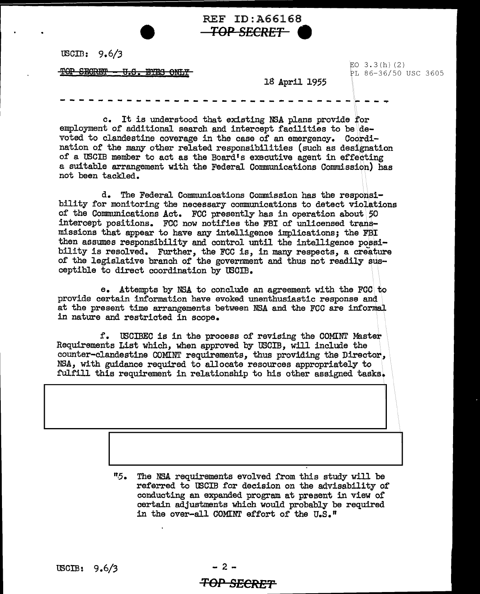REF ID:A66168 **TOPSECRET 9** 

USCID: 9.6/J

~OP Smom!H' H.8. 1B'I:!S 0Nflf

EO  $3.3(h)$  (2) PL 86-36/50 USC 3605

18 April 1955

- - - - - - - - - -- - - - - -- - ---- - -- - --- - - ·~ - - <sup>~</sup>

c. It is understood that existing NSA plans provide for employment of additional search and intercept facilities to be devoted to clandestine coverage in the case of an emergency. Coordination of the many other related responsibilities (such as designation of a USCIB member to act as the Board's executive agent in effecting a suitable arrangement with the Federal Connnunications Commission) has not been tackled.

d. The Federal Communications Commission has the responsibility for monitoring the necessary communications to detect violations of the Communications Act. FCC presently has in operation about 50 intercept positions. FCC now notifies the FBI of unlicensed transmissions that appear to have any intelligence implications; the FBI then assumes responsibility and control until the intelligence posaibility is resolved. Further, the FCC is, in many respects, a creature of the legislative branch of the government and thus not readily susceptible to direct coordination by USCIB.

e. Attempts by NSA to conclude an agreement with the FCC. to provide certain information have evoked unenthusiastic response and at the present time arrangements between NSA and the FCC are informal in nature and restricted in scope.

f. USCIBEC is in the process of revising the COMINT Master Requirements List which, when approved by USCIB, will include the counter-clandestine COMINT requirements, thus providing the Director., NSA, with guidance required to allocate resources appropriately to fulfill this requirement in relationship to his other assigned tasks.

> *"6.* The NSA requirements evolved from this study will be referred to USCIB for decision on the advisability of conducting an expanded program at present in view of certain adjustments which would probably be required in the over-all COMINT effort of the U.S."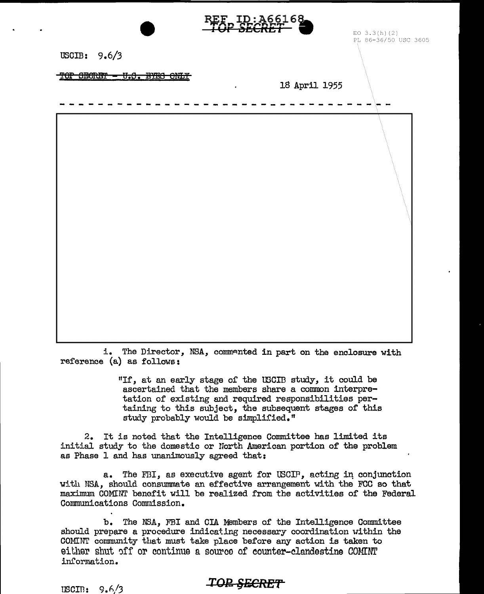

i. The Director, NSA, commented in part on the enclosure with reference (a) as follows:

> "If, at an early stage of the USCIB study, it could be ascertained that the members share a common interpretation of existing and required responsibilities pertaining to this subject, the subsequent stages of this study probably would be simplified."

2. It is noted that the Intelligence Committee has limited its initial study to the domestic or North American portion of the problem as Phase 1 and has unanimously agreed that:

a. The FBI, as executive agent for USCIP, acting in conjunction with NSA, should consummate an effective arrangement with the FCC so that maximum COMINT benefit will be realized from the activities of the Federal Communications Commission.

b. The NSA, FBI and CIA Members of the Intelligence Committee should prepare a procedure indicating necessary coordination within the COMINT community that must take place before any action is taken to either shut off or continue a source of counter-clandestine COMINT information.

### **TOP SECRET**

 $\text{USCIR: } 9.6/3$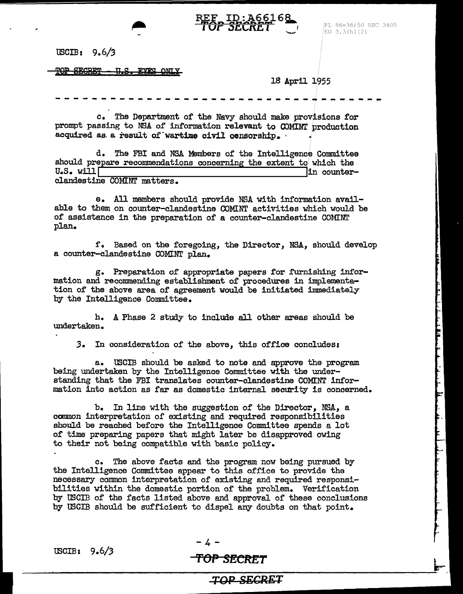

# REF ID: A66168

llSCIB: 9.6/3

 $FOP$  SECRET - U.S. EYES ONL

18 April 1955

PL 86-36/50 USC 3605

 $EO(3.3(h)(2)$ 

-----------------------~----~~-----~

c. The Department of the Navy should make provisions for prompt passing to NSA of information relevant to OOMINT production acquired as a result of wartime civil censorship.

d. The FBI and NSA Members of the Intelligence Committee should prepare recommendations concerning the extent to which the U.S. will in counterclandestine COMINT matters.

e. All members should provide NSA with information available to them on counter-clandestine COMINT activities which would be of assistance in the preparation of a counter-clandestine CONINT plan.

f. Based on the foregoing, the Director, NSA, should develop a counter-clandestine COMINT plan.

g. Preparation of appropriate papers for furnishing information and recommending establishment of procedures in implementation of the above area of agreement would be initiated immediately by the Intelligence Committee.

h. A Phase 2 study to include all other areas should be undertaken.

*3.* In consideration of the above, this office concludesi

a. WCIB should be asked to note and approve the program being undertaken by the Intelligence Committee with the understanding that the FBI translates counter-clandestine COMINT information into action as far as domestic internal security is concerned.

b. In line with the suggestion of the Director, NSA, a common interpretation of existing and required responsibilities should be reached before the Intelligence Committee spends a lot of time preparing papers that might later be disapproved owing to their not being compatible with basic policy.

c. The above facts and the program now being pursued by the Intelligence Committee appear to this office to provide the necessary common interpretation of existing and required responsibilities vithin the domestic portion of the problem. Verification by USCIB of the facts listed above and approval of these conclusions by tBCIB should be sufficient to dispel any doubts on that point.

-4-

# IBCIB: 9.6/3 **'fOfJ** *SECRET*